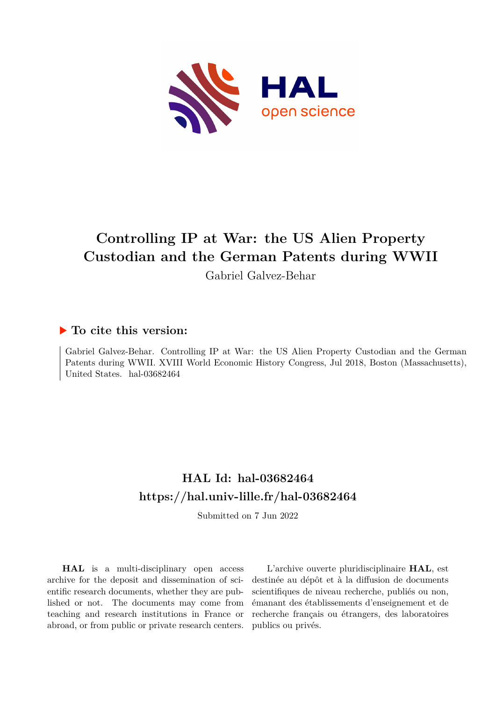

# **Controlling IP at War: the US Alien Property Custodian and the German Patents during WWII**

Gabriel Galvez-Behar

### **To cite this version:**

Gabriel Galvez-Behar. Controlling IP at War: the US Alien Property Custodian and the German Patents during WWII. XVIII World Economic History Congress, Jul 2018, Boston (Massachusetts), United States. hal-03682464

## **HAL Id: hal-03682464 <https://hal.univ-lille.fr/hal-03682464>**

Submitted on 7 Jun 2022

**HAL** is a multi-disciplinary open access archive for the deposit and dissemination of scientific research documents, whether they are published or not. The documents may come from teaching and research institutions in France or abroad, or from public or private research centers.

L'archive ouverte pluridisciplinaire **HAL**, est destinée au dépôt et à la diffusion de documents scientifiques de niveau recherche, publiés ou non, émanant des établissements d'enseignement et de recherche français ou étrangers, des laboratoires publics ou privés.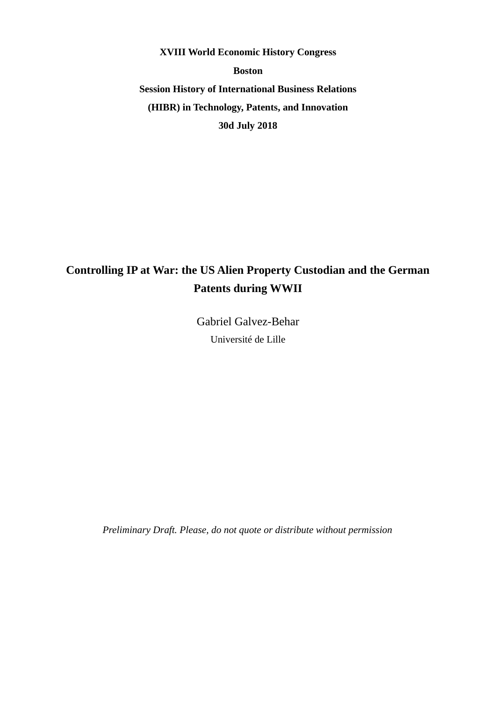**XVIII World Economic History Congress Boston Session History of International Business Relations (HIBR) in Technology, Patents, and Innovation 30d July 2018**

## **Controlling IP at War: the US Alien Property Custodian and the German Patents during WWII**

Gabriel Galvez-Behar Université de Lille

*Preliminary Draft. Please, do not quote or distribute without permission*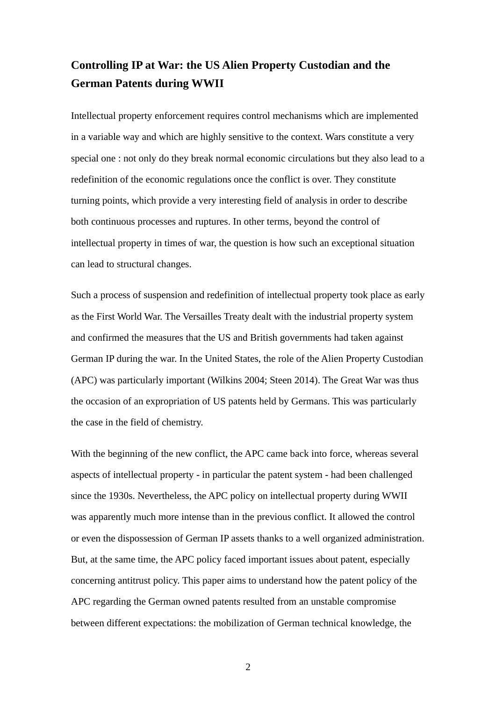### **Controlling IP at War: the US Alien Property Custodian and the German Patents during WWII**

Intellectual property enforcement requires control mechanisms which are implemented in a variable way and which are highly sensitive to the context. Wars constitute a very special one : not only do they break normal economic circulations but they also lead to a redefinition of the economic regulations once the conflict is over. They constitute turning points, which provide a very interesting field of analysis in order to describe both continuous processes and ruptures. In other terms, beyond the control of intellectual property in times of war, the question is how such an exceptional situation can lead to structural changes.

Such a process of suspension and redefinition of intellectual property took place as early as the First World War. The Versailles Treaty dealt with the industrial property system and confirmed the measures that the US and British governments had taken against German IP during the war. In the United States, the role of the Alien Property Custodian (APC) was particularly important (Wilkins 2004; Steen 2014). The Great War was thus the occasion of an expropriation of US patents held by Germans. This was particularly the case in the field of chemistry.

With the beginning of the new conflict, the APC came back into force, whereas several aspects of intellectual property - in particular the patent system - had been challenged since the 1930s. Nevertheless, the APC policy on intellectual property during WWII was apparently much more intense than in the previous conflict. It allowed the control or even the dispossession of German IP assets thanks to a well organized administration. But, at the same time, the APC policy faced important issues about patent, especially concerning antitrust policy. This paper aims to understand how the patent policy of the APC regarding the German owned patents resulted from an unstable compromise between different expectations: the mobilization of German technical knowledge, the

2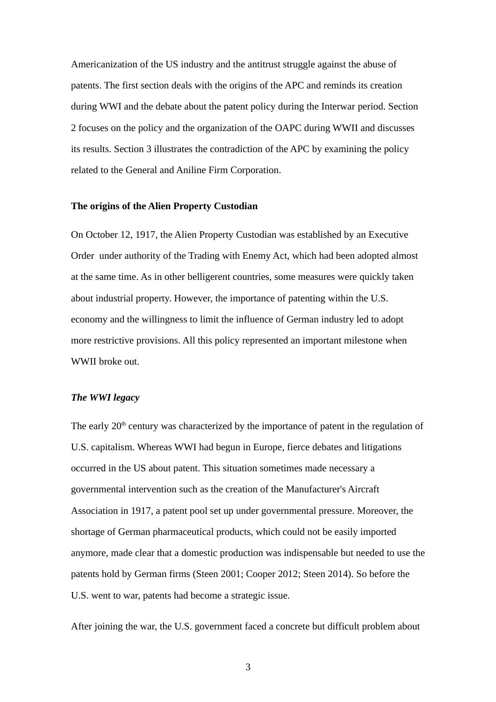Americanization of the US industry and the antitrust struggle against the abuse of patents. The first section deals with the origins of the APC and reminds its creation during WWI and the debate about the patent policy during the Interwar period. Section 2 focuses on the policy and the organization of the OAPC during WWII and discusses its results. Section 3 illustrates the contradiction of the APC by examining the policy related to the General and Aniline Firm Corporation.

#### **The origins of the Alien Property Custodian**

On October 12, 1917, the Alien Property Custodian was established by an Executive Order under authority of the Trading with Enemy Act, which had been adopted almost at the same time. As in other belligerent countries, some measures were quickly taken about industrial property. However, the importance of patenting within the U.S. economy and the willingness to limit the influence of German industry led to adopt more restrictive provisions. All this policy represented an important milestone when WWII broke out.

#### *The WWI legacy*

The early 20<sup>th</sup> century was characterized by the importance of patent in the regulation of U.S. capitalism. Whereas WWI had begun in Europe, fierce debates and litigations occurred in the US about patent. This situation sometimes made necessary a governmental intervention such as the creation of the Manufacturer's Aircraft Association in 1917, a patent pool set up under governmental pressure. Moreover, the shortage of German pharmaceutical products, which could not be easily imported anymore, made clear that a domestic production was indispensable but needed to use the patents hold by German firms (Steen 2001; Cooper 2012; Steen 2014). So before the U.S. went to war, patents had become a strategic issue.

After joining the war, the U.S. government faced a concrete but difficult problem about

3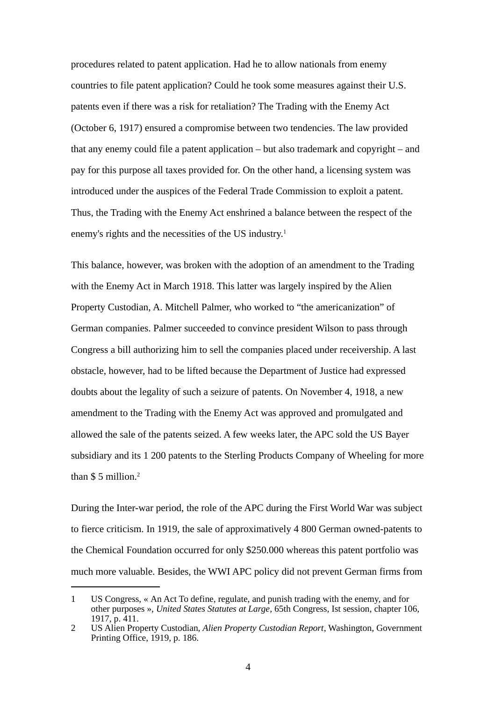procedures related to patent application. Had he to allow nationals from enemy countries to file patent application? Could he took some measures against their U.S. patents even if there was a risk for retaliation? The Trading with the Enemy Act (October 6, 1917) ensured a compromise between two tendencies. The law provided that any enemy could file a patent application – but also trademark and copyright – and pay for this purpose all taxes provided for. On the other hand, a licensing system was introduced under the auspices of the Federal Trade Commission to exploit a patent. Thus, the Trading with the Enemy Act enshrined a balance between the respect of the enemy's rights and the necessities of the US industry.<sup>[1](#page-4-0)</sup>

This balance, however, was broken with the adoption of an amendment to the Trading with the Enemy Act in March 1918. This latter was largely inspired by the Alien Property Custodian, A. Mitchell Palmer, who worked to "the americanization" of German companies. Palmer succeeded to convince president Wilson to pass through Congress a bill authorizing him to sell the companies placed under receivership. A last obstacle, however, had to be lifted because the Department of Justice had expressed doubts about the legality of such a seizure of patents. On November 4, 1918, a new amendment to the Trading with the Enemy Act was approved and promulgated and allowed the sale of the patents seized. A few weeks later, the APC sold the US Bayer subsidiary and its 1 200 patents to the Sterling Products Company of Wheeling for more than \$5 million.<sup>[2](#page-4-1)</sup>

During the Inter-war period, the role of the APC during the First World War was subject to fierce criticism. In 1919, the sale of approximatively 4 800 German owned-patents to the Chemical Foundation occurred for only \$250.000 whereas this patent portfolio was much more valuable. Besides, the WWI APC policy did not prevent German firms from

<span id="page-4-0"></span><sup>1</sup> US Congress, « An Act To define, regulate, and punish trading with the enemy, and for other purposes », *United States Statutes at Large*, 65th Congress, Ist session, chapter 106, 1917, p. 411.

<span id="page-4-1"></span><sup>2</sup> US Alien Property Custodian, *Alien Property Custodian Report*, Washington, Government Printing Office, 1919, p. 186.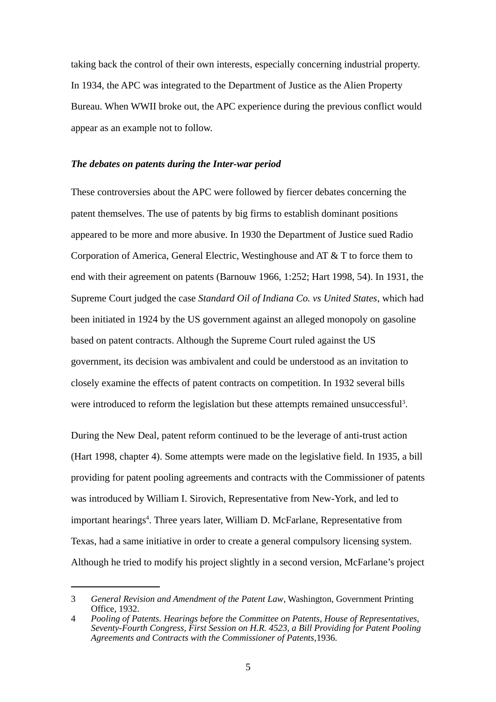taking back the control of their own interests, especially concerning industrial property. In 1934, the APC was integrated to the Department of Justice as the Alien Property Bureau. When WWII broke out, the APC experience during the previous conflict would appear as an example not to follow.

#### *The debates on patents during the Inter-war period*

These controversies about the APC were followed by fiercer debates concerning the patent themselves. The use of patents by big firms to establish dominant positions appeared to be more and more abusive. In 1930 the Department of Justice sued Radio Corporation of America, General Electric, Westinghouse and AT & T to force them to end with their agreement on patents (Barnouw 1966, 1:252; Hart 1998, 54). In 1931, the Supreme Court judged the case *Standard Oil of Indiana Co. vs United States*, which had been initiated in 1924 by the US government against an alleged monopoly on gasoline based on patent contracts. Although the Supreme Court ruled against the US government, its decision was ambivalent and could be understood as an invitation to closely examine the effects of patent contracts on competition. In 1932 several bills were introduced to reform the legislation but these attempts remained unsuccessful<sup>[3](#page-5-0)</sup>.

During the New Deal, patent reform continued to be the leverage of anti-trust action (Hart 1998, chapter 4). Some attempts were made on the legislative field. In 1935, a bill providing for patent pooling agreements and contracts with the Commissioner of patents was introduced by William I. Sirovich, Representative from New-York, and led to important hearings<sup>[4](#page-5-1)</sup>. Three years later, William D. McFarlane, Representative from Texas, had a same initiative in order to create a general compulsory licensing system. Although he tried to modify his project slightly in a second version, McFarlane's project

<span id="page-5-0"></span><sup>3</sup> *General Revision and Amendment of the Patent Law*, Washington, Government Printing Office, 1932.

<span id="page-5-1"></span><sup>4</sup> *Pooling of Patents. Hearings before the Committee on Patents, House of Representatives, Seventy-Fourth Congress, First Session on H.R. 4523, a Bill Providing for Patent Pooling Agreements and Contracts with the Commissioner of Patents,*1936.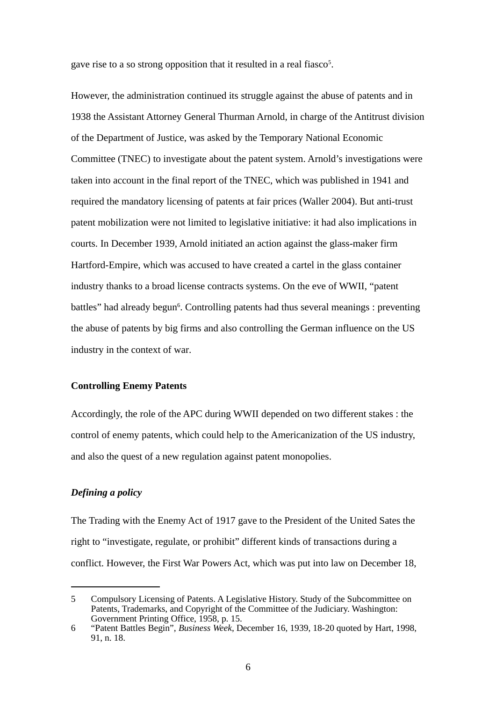gave rise to a so strong opposition that it resulted in a real fiasco<sup>[5](#page-6-0)</sup>.

However, the administration continued its struggle against the abuse of patents and in 1938 the Assistant Attorney General Thurman Arnold, in charge of the Antitrust division of the Department of Justice, was asked by the Temporary National Economic Committee (TNEC) to investigate about the patent system. Arnold's investigations were taken into account in the final report of the TNEC, which was published in 1941 and required the mandatory licensing of patents at fair prices (Waller 2004). But anti-trust patent mobilization were not limited to legislative initiative: it had also implications in courts. In December 1939, Arnold initiated an action against the glass-maker firm Hartford-Empire, which was accused to have created a cartel in the glass container industry thanks to a broad license contracts systems. On the eve of WWII, "patent battles" had already begun<sup>[6](#page-6-1)</sup>. Controlling patents had thus several meanings : preventing the abuse of patents by big firms and also controlling the German influence on the US industry in the context of war.

#### **Controlling Enemy Patents**

Accordingly, the role of the APC during WWII depended on two different stakes : the control of enemy patents, which could help to the Americanization of the US industry, and also the quest of a new regulation against patent monopolies.

#### *Defining a policy*

The Trading with the Enemy Act of 1917 gave to the President of the United Sates the right to "investigate, regulate, or prohibit" different kinds of transactions during a conflict. However, the First War Powers Act, which was put into law on December 18,

<span id="page-6-0"></span><sup>5</sup> Compulsory Licensing of Patents. A Legislative History. Study of the Subcommittee on Patents, Trademarks, and Copyright of the Committee of the Judiciary. Washington: Government Printing Office, 1958, p. 15.

<span id="page-6-1"></span><sup>6</sup> "Patent Battles Begin", *Business Week*, December 16, 1939, 18-20 quoted by Hart, 1998, 91, n. 18.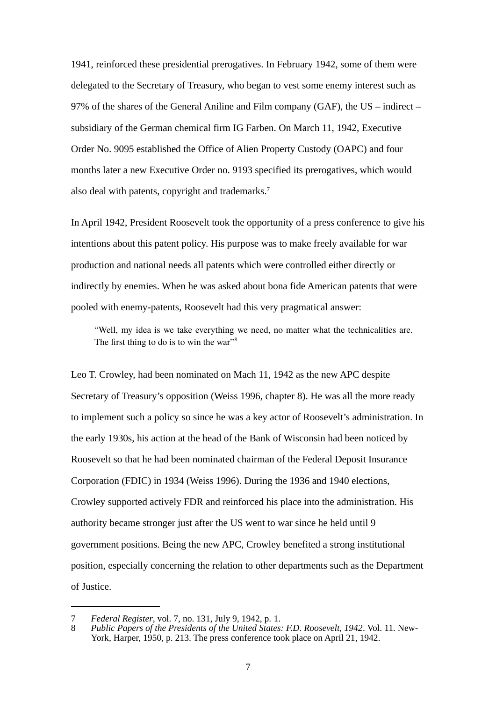1941, reinforced these presidential prerogatives. In February 1942, some of them were delegated to the Secretary of Treasury, who began to vest some enemy interest such as 97% of the shares of the General Aniline and Film company (GAF), the US – indirect – subsidiary of the German chemical firm IG Farben. On March 11, 1942, Executive Order No. 9095 established the Office of Alien Property Custody (OAPC) and four months later a new Executive Order no. 9193 specified its prerogatives, which would also deal with patents, copyright and trademarks.<sup>[7](#page-7-0)</sup>

In April 1942, President Roosevelt took the opportunity of a press conference to give his intentions about this patent policy. His purpose was to make freely available for war production and national needs all patents which were controlled either directly or indirectly by enemies. When he was asked about bona fide American patents that were pooled with enemy-patents, Roosevelt had this very pragmatical answer:

"Well, my idea is we take everything we need, no matter what the technicalities are. The first thing to do is to win the war" $\frac{3}{8}$  $\frac{3}{8}$  $\frac{3}{8}$ 

Leo T. Crowley, had been nominated on Mach 11, 1942 as the new APC despite Secretary of Treasury's opposition (Weiss 1996, chapter 8). He was all the more ready to implement such a policy so since he was a key actor of Roosevelt's administration. In the early 1930s, his action at the head of the Bank of Wisconsin had been noticed by Roosevelt so that he had been nominated chairman of the Federal Deposit Insurance Corporation (FDIC) in 1934 (Weiss 1996). During the 1936 and 1940 elections, Crowley supported actively FDR and reinforced his place into the administration. His authority became stronger just after the US went to war since he held until 9 government positions. Being the new APC, Crowley benefited a strong institutional position, especially concerning the relation to other departments such as the Department of Justice.

<span id="page-7-0"></span><sup>7</sup> *Federal Register*, vol. 7, no. 131, July 9, 1942, p. 1.

<span id="page-7-1"></span><sup>8</sup> *Public Papers of the Presidents of the United States: F.D. Roosevelt, 1942*. Vol. 11. New-York, Harper, 1950, p. 213. The press conference took place on April 21, 1942.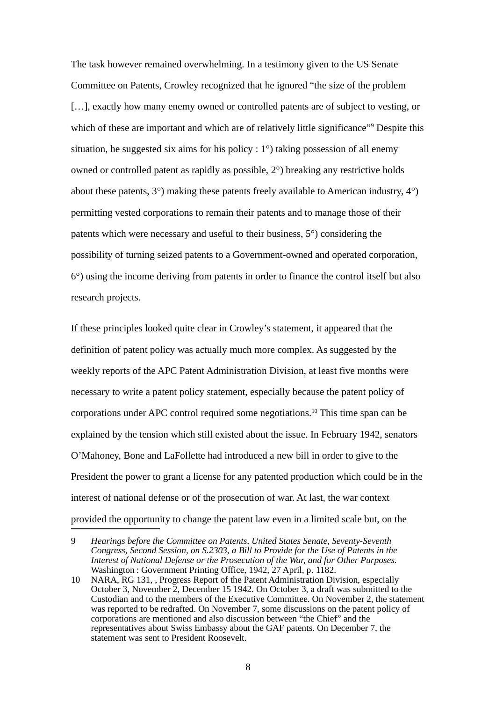The task however remained overwhelming. In a testimony given to the US Senate Committee on Patents, Crowley recognized that he ignored "the size of the problem [...], exactly how many enemy owned or controlled patents are of subject to vesting, or which of these are important and which are of relatively little significance"<sup>[9](#page-8-0)</sup> Despite this situation, he suggested six aims for his policy : 1°) taking possession of all enemy owned or controlled patent as rapidly as possible, 2°) breaking any restrictive holds about these patents, 3°) making these patents freely available to American industry, 4°) permitting vested corporations to remain their patents and to manage those of their patents which were necessary and useful to their business, 5°) considering the possibility of turning seized patents to a Government-owned and operated corporation, 6°) using the income deriving from patents in order to finance the control itself but also research projects.

If these principles looked quite clear in Crowley's statement, it appeared that the definition of patent policy was actually much more complex. As suggested by the weekly reports of the APC Patent Administration Division, at least five months were necessary to write a patent policy statement, especially because the patent policy of corporations under APC control required some negotiations.[10](#page-8-1) This time span can be explained by the tension which still existed about the issue. In February 1942, senators O'Mahoney, Bone and LaFollette had introduced a new bill in order to give to the President the power to grant a license for any patented production which could be in the interest of national defense or of the prosecution of war. At last, the war context provided the opportunity to change the patent law even in a limited scale but, on the

<span id="page-8-0"></span><sup>9</sup> *Hearings before the Committee on Patents, United States Senate, Seventy-Seventh Congress, Second Session, on S.2303, a Bill to Provide for the Use of Patents in the Interest of National Defense or the Prosecution of the War, and for Other Purposes.* Washington : Government Printing Office, 1942, 27 April, p. 1182.

<span id="page-8-1"></span><sup>10</sup> NARA, RG 131, , Progress Report of the Patent Administration Division, especially October 3, November 2, December 15 1942. On October 3, a draft was submitted to the Custodian and to the members of the Executive Committee. On November 2, the statement was reported to be redrafted. On November 7, some discussions on the patent policy of corporations are mentioned and also discussion between "the Chief" and the representatives about Swiss Embassy about the GAF patents. On December 7, the statement was sent to President Roosevelt.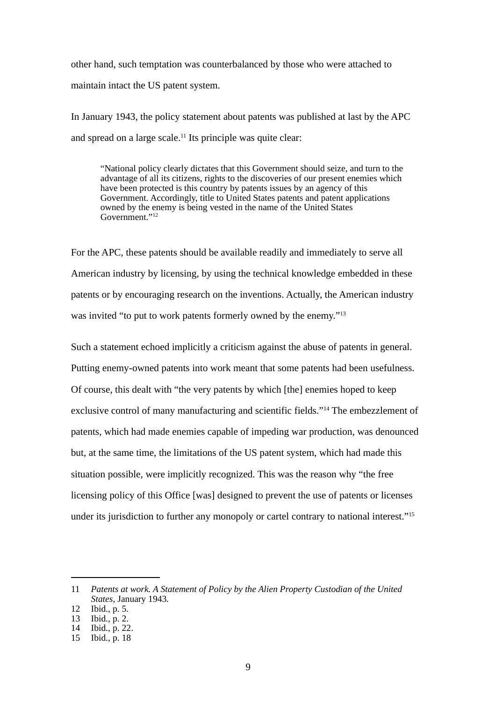other hand, such temptation was counterbalanced by those who were attached to maintain intact the US patent system.

In January 1943, the policy statement about patents was published at last by the APC and spread on a large scale. $11$  Its principle was quite clear:

"National policy clearly dictates that this Government should seize, and turn to the advantage of all its citizens, rights to the discoveries of our present enemies which have been protected is this country by patents issues by an agency of this Government. Accordingly, title to United States patents and patent applications owned by the enemy is being vested in the name of the United States Government."[12](#page-9-1)

For the APC, these patents should be available readily and immediately to serve all American industry by licensing, by using the technical knowledge embedded in these patents or by encouraging research on the inventions. Actually, the American industry was invited "to put to work patents formerly owned by the enemy."<sup>[13](#page-9-2)</sup>

Such a statement echoed implicitly a criticism against the abuse of patents in general. Putting enemy-owned patents into work meant that some patents had been usefulness. Of course, this dealt with "the very patents by which [the] enemies hoped to keep exclusive control of many manufacturing and scientific fields."[14](#page-9-3) The embezzlement of patents, which had made enemies capable of impeding war production, was denounced but, at the same time, the limitations of the US patent system, which had made this situation possible, were implicitly recognized. This was the reason why "the free licensing policy of this Office [was] designed to prevent the use of patents or licenses under its jurisdiction to further any monopoly or cartel contrary to national interest."<sup>[15](#page-9-4)</sup>

<span id="page-9-0"></span><sup>11</sup> *Patents at work. A Statement of Policy by the Alien Property Custodian of the United States*, January 1943.

<span id="page-9-1"></span><sup>12</sup> Ibid., p. 5.

<span id="page-9-2"></span><sup>13</sup> Ibid., p. 2.

<span id="page-9-3"></span><sup>14</sup> Ibid., p. 22.

<span id="page-9-4"></span><sup>15</sup> Ibid., p. 18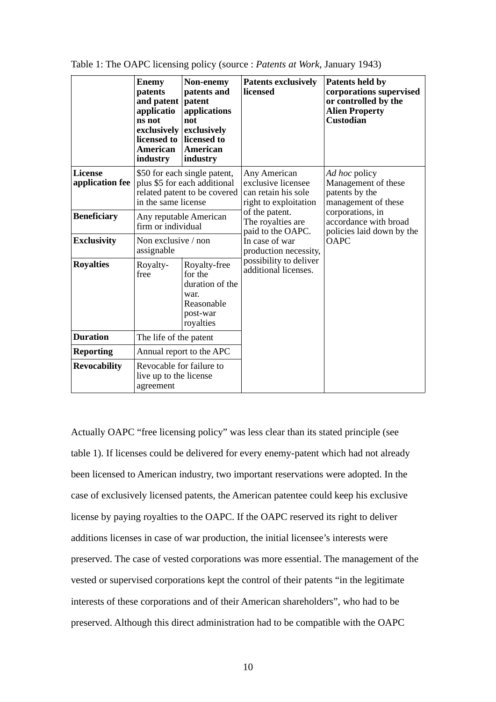|                                   | <b>Enemy</b><br>patents<br>and patent<br>applicatio<br>ns not<br>exclusively<br>licensed to<br>American<br>industry | Non-enemy<br>patents and<br>patent<br>applications<br>not<br>exclusively<br>licensed to<br><b>American</b><br>industry | <b>Patents exclusively</b><br>licensed                                                                                                                                                    | Patents held by<br>corporations supervised<br>or controlled by the<br><b>Alien Property</b><br><b>Custodian</b>                                                        |
|-----------------------------------|---------------------------------------------------------------------------------------------------------------------|------------------------------------------------------------------------------------------------------------------------|-------------------------------------------------------------------------------------------------------------------------------------------------------------------------------------------|------------------------------------------------------------------------------------------------------------------------------------------------------------------------|
| <b>License</b><br>application fee | \$50 for each single patent,<br>plus \$5 for each additional<br>related patent to be covered<br>in the same license |                                                                                                                        | Any American<br>exclusive licensee<br>can retain his sole<br>right to exploitation<br>of the patent.<br>The royalties are<br>paid to the OAPC.<br>In case of war<br>production necessity, | Ad hoc policy<br>Management of these<br>patents by the<br>management of these<br>corporations, in<br>accordance with broad<br>policies laid down by the<br><b>OAPC</b> |
| <b>Beneficiary</b>                | Any reputable American<br>firm or individual                                                                        |                                                                                                                        |                                                                                                                                                                                           |                                                                                                                                                                        |
| <b>Exclusivity</b>                | Non exclusive / non<br>assignable                                                                                   |                                                                                                                        |                                                                                                                                                                                           |                                                                                                                                                                        |
| <b>Royalties</b>                  | Royalty-<br>free                                                                                                    | Royalty-free<br>for the<br>duration of the<br>war.<br>Reasonable<br>post-war<br>royalties                              | possibility to deliver<br>additional licenses.                                                                                                                                            |                                                                                                                                                                        |
| <b>Duration</b>                   | The life of the patent                                                                                              |                                                                                                                        |                                                                                                                                                                                           |                                                                                                                                                                        |
| <b>Reporting</b>                  | Annual report to the APC                                                                                            |                                                                                                                        |                                                                                                                                                                                           |                                                                                                                                                                        |
| <b>Revocability</b>               | Revocable for failure to<br>live up to the license<br>agreement                                                     |                                                                                                                        |                                                                                                                                                                                           |                                                                                                                                                                        |

Table 1: The OAPC licensing policy (source : *Patents at Work*, January 1943)

Actually OAPC "free licensing policy" was less clear than its stated principle (see table 1). If licenses could be delivered for every enemy-patent which had not already been licensed to American industry, two important reservations were adopted. In the case of exclusively licensed patents, the American patentee could keep his exclusive license by paying royalties to the OAPC. If the OAPC reserved its right to deliver additions licenses in case of war production, the initial licensee's interests were preserved. The case of vested corporations was more essential. The management of the vested or supervised corporations kept the control of their patents "in the legitimate interests of these corporations and of their American shareholders", who had to be preserved. Although this direct administration had to be compatible with the OAPC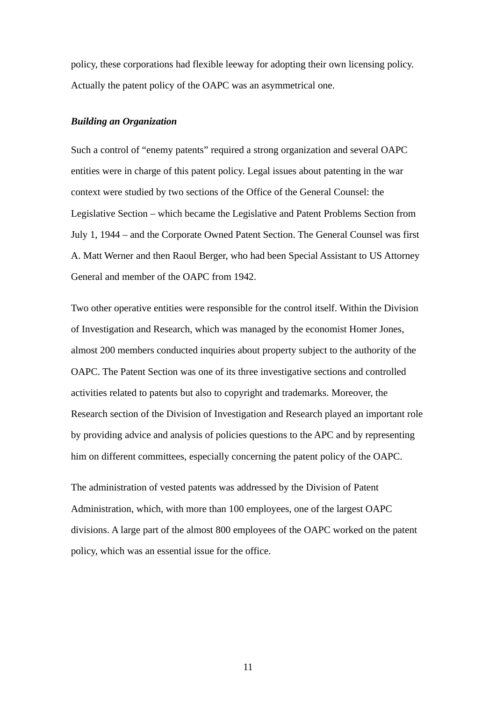policy, these corporations had flexible leeway for adopting their own licensing policy. Actually the patent policy of the OAPC was an asymmetrical one.

#### *Building an Organization*

Such a control of "enemy patents" required a strong organization and several OAPC entities were in charge of this patent policy. Legal issues about patenting in the war context were studied by two sections of the Office of the General Counsel: the Legislative Section – which became the Legislative and Patent Problems Section from July 1, 1944 – and the Corporate Owned Patent Section. The General Counsel was first A. Matt Werner and then Raoul Berger, who had been Special Assistant to US Attorney General and member of the OAPC from 1942.

Two other operative entities were responsible for the control itself. Within the Division of Investigation and Research, which was managed by the economist Homer Jones, almost 200 members conducted inquiries about property subject to the authority of the OAPC. The Patent Section was one of its three investigative sections and controlled activities related to patents but also to copyright and trademarks. Moreover, the Research section of the Division of Investigation and Research played an important role by providing advice and analysis of policies questions to the APC and by representing him on different committees, especially concerning the patent policy of the OAPC.

The administration of vested patents was addressed by the Division of Patent Administration, which, with more than 100 employees, one of the largest OAPC divisions. A large part of the almost 800 employees of the OAPC worked on the patent policy, which was an essential issue for the office.

11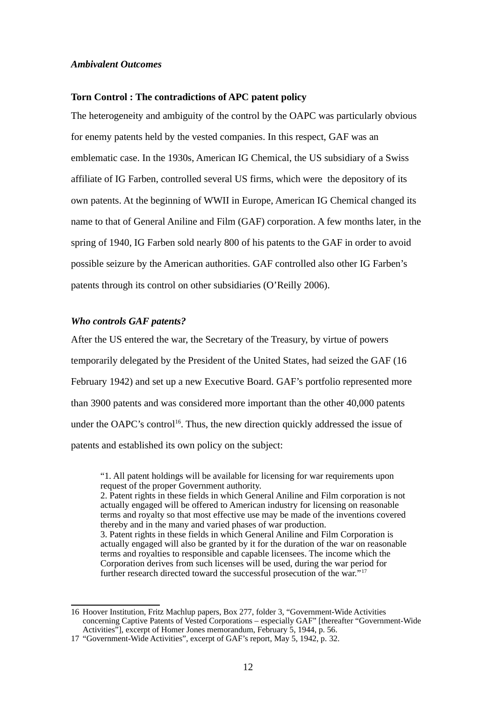#### *Ambivalent Outcomes*

#### **Torn Control : The contradictions of APC patent policy**

The heterogeneity and ambiguity of the control by the OAPC was particularly obvious for enemy patents held by the vested companies. In this respect, GAF was an emblematic case. In the 1930s, American IG Chemical, the US subsidiary of a Swiss affiliate of IG Farben, controlled several US firms, which were the depository of its own patents. At the beginning of WWII in Europe, American IG Chemical changed its name to that of General Aniline and Film (GAF) corporation. A few months later, in the spring of 1940, IG Farben sold nearly 800 of his patents to the GAF in order to avoid possible seizure by the American authorities. GAF controlled also other IG Farben's patents through its control on other subsidiaries (O'Reilly 2006).

#### *Who controls GAF patents?*

After the US entered the war, the Secretary of the Treasury, by virtue of powers temporarily delegated by the President of the United States, had seized the GAF (16 February 1942) and set up a new Executive Board. GAF's portfolio represented more than 3900 patents and was considered more important than the other 40,000 patents under the OAPC's control<sup>[16](#page-12-0)</sup>. Thus, the new direction quickly addressed the issue of patents and established its own policy on the subject:

"1. All patent holdings will be available for licensing for war requirements upon request of the proper Government authority. 2. Patent rights in these fields in which General Aniline and Film corporation is not actually engaged will be offered to American industry for licensing on reasonable terms and royalty so that most effective use may be made of the inventions covered thereby and in the many and varied phases of war production. 3. Patent rights in these fields in which General Aniline and Film Corporation is actually engaged will also be granted by it for the duration of the war on reasonable terms and royalties to responsible and capable licensees. The income which the Corporation derives from such licenses will be used, during the war period for further research directed toward the successful prosecution of the war."<sup>[17](#page-12-1)</sup>

<span id="page-12-0"></span><sup>16</sup> Hoover Institution, Fritz Machlup papers, Box 277, folder 3, "Government-Wide Activities concerning Captive Patents of Vested Corporations – especially GAF" [thereafter "Government-Wide Activities"], excerpt of Homer Jones memorandum, February 5, 1944, p. 56.

<span id="page-12-1"></span><sup>17</sup> "Government-Wide Activities", excerpt of GAF's report, May 5, 1942, p. 32.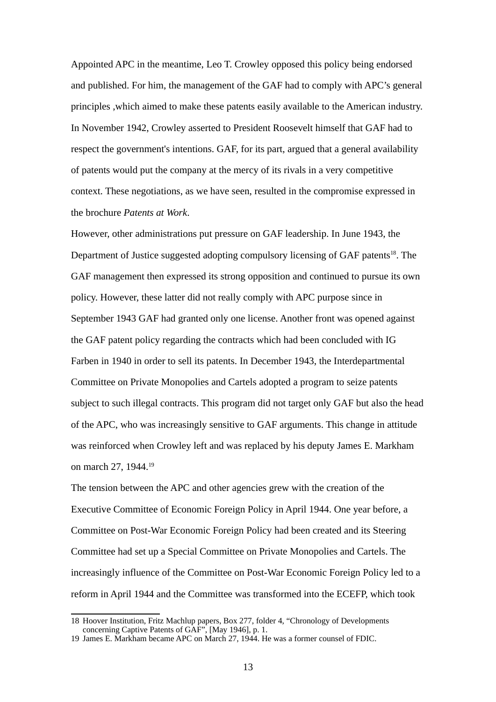Appointed APC in the meantime, Leo T. Crowley opposed this policy being endorsed and published. For him, the management of the GAF had to comply with APC's general principles ,which aimed to make these patents easily available to the American industry. In November 1942, Crowley asserted to President Roosevelt himself that GAF had to respect the government's intentions. GAF, for its part, argued that a general availability of patents would put the company at the mercy of its rivals in a very competitive context. These negotiations, as we have seen, resulted in the compromise expressed in the brochure *Patents at Work*.

However, other administrations put pressure on GAF leadership. In June 1943, the Department of Justice suggested adopting compulsory licensing of GAF patents<sup>[18](#page-13-0)</sup>. The GAF management then expressed its strong opposition and continued to pursue its own policy. However, these latter did not really comply with APC purpose since in September 1943 GAF had granted only one license. Another front was opened against the GAF patent policy regarding the contracts which had been concluded with IG Farben in 1940 in order to sell its patents. In December 1943, the Interdepartmental Committee on Private Monopolies and Cartels adopted a program to seize patents subject to such illegal contracts. This program did not target only GAF but also the head of the APC, who was increasingly sensitive to GAF arguments. This change in attitude was reinforced when Crowley left and was replaced by his deputy James E. Markham on march 27, [19](#page-13-1)44.<sup>19</sup>

The tension between the APC and other agencies grew with the creation of the Executive Committee of Economic Foreign Policy in April 1944. One year before, a Committee on Post-War Economic Foreign Policy had been created and its Steering Committee had set up a Special Committee on Private Monopolies and Cartels. The increasingly influence of the Committee on Post-War Economic Foreign Policy led to a reform in April 1944 and the Committee was transformed into the ECEFP, which took

<span id="page-13-0"></span><sup>18</sup> Hoover Institution, Fritz Machlup papers, Box 277, folder 4, "Chronology of Developments concerning Captive Patents of GAF", [May 1946], p. 1.

<span id="page-13-1"></span><sup>19</sup> James E. Markham became APC on March 27, 1944. He was a former counsel of FDIC.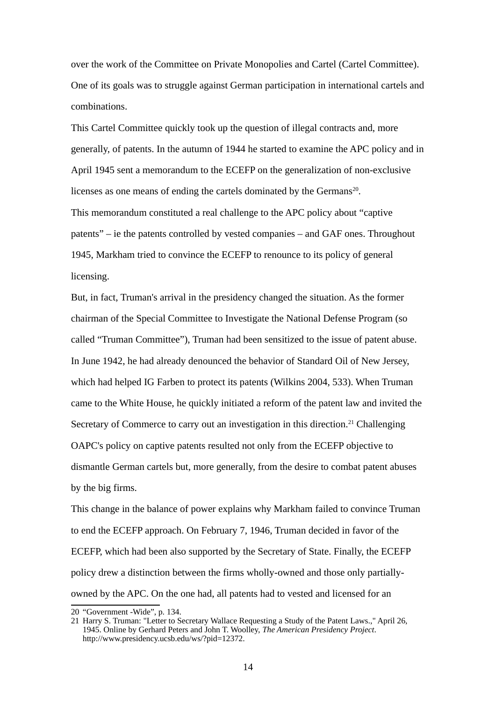over the work of the Committee on Private Monopolies and Cartel (Cartel Committee). One of its goals was to struggle against German participation in international cartels and combinations.

This Cartel Committee quickly took up the question of illegal contracts and, more generally, of patents. In the autumn of 1944 he started to examine the APC policy and in April 1945 sent a memorandum to the ECEFP on the generalization of non-exclusive licenses as one means of ending the cartels dominated by the Germans<sup>[20](#page-14-0)</sup>. This memorandum constituted a real challenge to the APC policy about "captive patents" – ie the patents controlled by vested companies – and GAF ones. Throughout 1945, Markham tried to convince the ECEFP to renounce to its policy of general licensing.

But, in fact, Truman's arrival in the presidency changed the situation. As the former chairman of the Special Committee to Investigate the National Defense Program (so called "Truman Committee"), Truman had been sensitized to the issue of patent abuse. In June 1942, he had already denounced the behavior of Standard Oil of New Jersey, which had helped IG Farben to protect its patents (Wilkins 2004, 533). When Truman came to the White House, he quickly initiated a reform of the patent law and invited the Secretary of Commerce to carry out an investigation in this direction.<sup>[21](#page-14-1)</sup> Challenging OAPC's policy on captive patents resulted not only from the ECEFP objective to dismantle German cartels but, more generally, from the desire to combat patent abuses by the big firms.

This change in the balance of power explains why Markham failed to convince Truman to end the ECEFP approach. On February 7, 1946, Truman decided in favor of the ECEFP, which had been also supported by the Secretary of State. Finally, the ECEFP policy drew a distinction between the firms wholly-owned and those only partiallyowned by the APC. On the one had, all patents had to vested and licensed for an

<span id="page-14-0"></span><sup>20</sup> "Government -Wide", p. 134.

<span id="page-14-1"></span><sup>21</sup> Harry S. Truman: "Letter to Secretary Wallace Requesting a Study of the Patent Laws.," April 26, 1945. Online by Gerhard Peters and John T. Woolley, *The American Presidency Project*. http://www.presidency.ucsb.edu/ws/?pid=12372.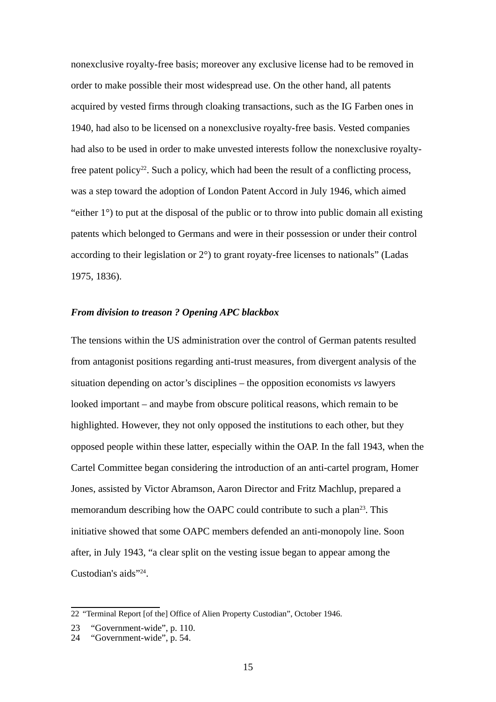nonexclusive royalty-free basis; moreover any exclusive license had to be removed in order to make possible their most widespread use. On the other hand, all patents acquired by vested firms through cloaking transactions, such as the IG Farben ones in 1940, had also to be licensed on a nonexclusive royalty-free basis. Vested companies had also to be used in order to make unvested interests follow the nonexclusive royalty-free patent policy<sup>[22](#page-15-0)</sup>. Such a policy, which had been the result of a conflicting process, was a step toward the adoption of London Patent Accord in July 1946, which aimed "either  $1^{\circ}$ ) to put at the disposal of the public or to throw into public domain all existing patents which belonged to Germans and were in their possession or under their control according to their legislation or 2°) to grant royaty-free licenses to nationals" (Ladas 1975, 1836).

#### *From division to treason ? Opening APC blackbox*

The tensions within the US administration over the control of German patents resulted from antagonist positions regarding anti-trust measures, from divergent analysis of the situation depending on actor's disciplines – the opposition economists *vs* lawyers looked important – and maybe from obscure political reasons, which remain to be highlighted. However, they not only opposed the institutions to each other, but they opposed people within these latter, especially within the OAP. In the fall 1943, when the Cartel Committee began considering the introduction of an anti-cartel program, Homer Jones, assisted by Victor Abramson, Aaron Director and Fritz Machlup, prepared a memorandum describing how the OAPC could contribute to such a plan<sup>[23](#page-15-1)</sup>. This initiative showed that some OAPC members defended an anti-monopoly line. Soon after, in July 1943, "a clear split on the vesting issue began to appear among the Custodian's aids"<sup>[24](#page-15-2)</sup>.

<span id="page-15-0"></span><sup>22</sup> "Terminal Report [of the] Office of Alien Property Custodian", October 1946.

<span id="page-15-1"></span><sup>23</sup> "Government-wide", p. 110.

<span id="page-15-2"></span><sup>24</sup> "Government-wide", p. 54.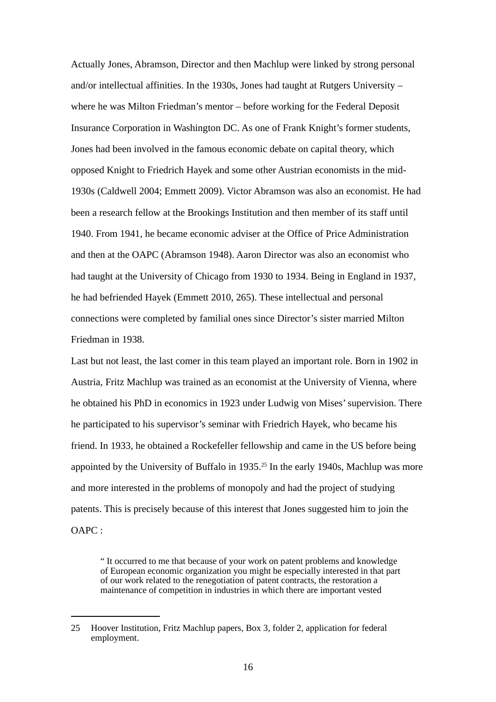Actually Jones, Abramson, Director and then Machlup were linked by strong personal and/or intellectual affinities. In the 1930s, Jones had taught at Rutgers University – where he was Milton Friedman's mentor – before working for the Federal Deposit Insurance Corporation in Washington DC. As one of Frank Knight's former students, Jones had been involved in the famous economic debate on capital theory, which opposed Knight to Friedrich Hayek and some other Austrian economists in the mid-1930s (Caldwell 2004; Emmett 2009). Victor Abramson was also an economist. He had been a research fellow at the Brookings Institution and then member of its staff until 1940. From 1941, he became economic adviser at the Office of Price Administration and then at the OAPC (Abramson 1948). Aaron Director was also an economist who had taught at the University of Chicago from 1930 to 1934. Being in England in 1937, he had befriended Hayek (Emmett 2010, 265). These intellectual and personal connections were completed by familial ones since Director's sister married Milton Friedman in 1938.

Last but not least, the last comer in this team played an important role. Born in 1902 in Austria, Fritz Machlup was trained as an economist at the University of Vienna, where he obtained his PhD in economics in 1923 under Ludwig von Mises' supervision. There he participated to his supervisor's seminar with Friedrich Hayek, who became his friend. In 1933, he obtained a Rockefeller fellowship and came in the US before being appointed by the University of Buffalo in  $1935<sup>25</sup>$  $1935<sup>25</sup>$  $1935<sup>25</sup>$  In the early 1940s, Machlup was more and more interested in the problems of monopoly and had the project of studying patents. This is precisely because of this interest that Jones suggested him to join the OAPC :

" It occurred to me that because of your work on patent problems and knowledge of European economic organization you might be especially interested in that part of our work related to the renegotiation of patent contracts, the restoration a maintenance of competition in industries in which there are important vested

<span id="page-16-0"></span><sup>25</sup> Hoover Institution, Fritz Machlup papers, Box 3, folder 2, application for federal employment.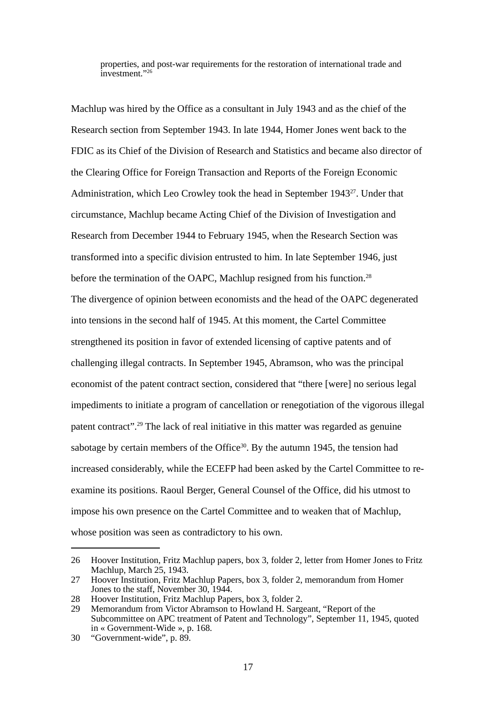properties, and post-war requirements for the restoration of international trade and investment."[26](#page-17-0)

Machlup was hired by the Office as a consultant in July 1943 and as the chief of the Research section from September 1943. In late 1944, Homer Jones went back to the FDIC as its Chief of the Division of Research and Statistics and became also director of the Clearing Office for Foreign Transaction and Reports of the Foreign Economic Administration, which Leo Crowley took the head in September 1943<sup>[27](#page-17-1)</sup>. Under that circumstance, Machlup became Acting Chief of the Division of Investigation and Research from December 1944 to February 1945, when the Research Section was transformed into a specific division entrusted to him. In late September 1946, just before the termination of the OAPC, Machlup resigned from his function.<sup>[28](#page-17-2)</sup> The divergence of opinion between economists and the head of the OAPC degenerated into tensions in the second half of 1945. At this moment, the Cartel Committee strengthened its position in favor of extended licensing of captive patents and of challenging illegal contracts. In September 1945, Abramson, who was the principal economist of the patent contract section, considered that "there [were] no serious legal impediments to initiate a program of cancellation or renegotiation of the vigorous illegal patent contract".[29](#page-17-3) The lack of real initiative in this matter was regarded as genuine sabotage by certain members of the Office $30$ . By the autumn 1945, the tension had increased considerably, while the ECEFP had been asked by the Cartel Committee to reexamine its positions. Raoul Berger, General Counsel of the Office, did his utmost to impose his own presence on the Cartel Committee and to weaken that of Machlup, whose position was seen as contradictory to his own.

<span id="page-17-0"></span><sup>26</sup> Hoover Institution, Fritz Machlup papers, box 3, folder 2, letter from Homer Jones to Fritz Machlup, March 25, 1943.

<span id="page-17-1"></span><sup>27</sup> Hoover Institution, Fritz Machlup Papers, box 3, folder 2, memorandum from Homer Jones to the staff, November 30, 1944.

<span id="page-17-2"></span><sup>28</sup> Hoover Institution, Fritz Machlup Papers, box 3, folder 2.

<span id="page-17-3"></span><sup>29</sup> Memorandum from Victor Abramson to Howland H. Sargeant, "Report of the Subcommittee on APC treatment of Patent and Technology", September 11, 1945, quoted in « Government-Wide », p. 168.

<span id="page-17-4"></span><sup>30</sup> "Government-wide", p. 89.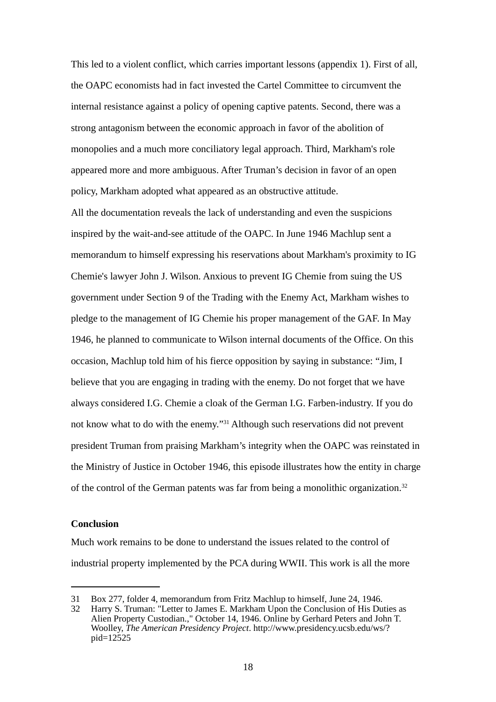This led to a violent conflict, which carries important lessons (appendix 1). First of all, the OAPC economists had in fact invested the Cartel Committee to circumvent the internal resistance against a policy of opening captive patents. Second, there was a strong antagonism between the economic approach in favor of the abolition of monopolies and a much more conciliatory legal approach. Third, Markham's role appeared more and more ambiguous. After Truman's decision in favor of an open policy, Markham adopted what appeared as an obstructive attitude.

All the documentation reveals the lack of understanding and even the suspicions inspired by the wait-and-see attitude of the OAPC. In June 1946 Machlup sent a memorandum to himself expressing his reservations about Markham's proximity to IG Chemie's lawyer John J. Wilson. Anxious to prevent IG Chemie from suing the US government under Section 9 of the Trading with the Enemy Act, Markham wishes to pledge to the management of IG Chemie his proper management of the GAF. In May 1946, he planned to communicate to Wilson internal documents of the Office. On this occasion, Machlup told him of his fierce opposition by saying in substance: "Jim, I believe that you are engaging in trading with the enemy. Do not forget that we have always considered I.G. Chemie a cloak of the German I.G. Farben-industry. If you do not know what to do with the enemy."[31](#page-18-0) Although such reservations did not prevent president Truman from praising Markham's integrity when the OAPC was reinstated in the Ministry of Justice in October 1946, this episode illustrates how the entity in charge of the control of the German patents was far from being a monolithic organization.<sup>[32](#page-18-1)</sup>

#### **Conclusion**

Much work remains to be done to understand the issues related to the control of industrial property implemented by the PCA during WWII. This work is all the more

<span id="page-18-0"></span><sup>31</sup> Box 277, folder 4, memorandum from Fritz Machlup to himself, June 24, 1946.

<span id="page-18-1"></span><sup>32</sup> Harry S. Truman: "Letter to James E. Markham Upon the Conclusion of His Duties as Alien Property Custodian.," October 14, 1946. Online by Gerhard Peters and John T. Woolley, *The American Presidency Project*. http://www.presidency.ucsb.edu/ws/? pid=12525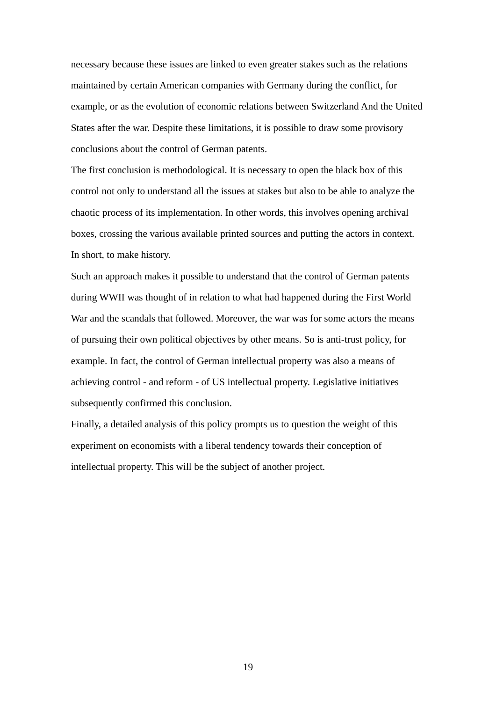necessary because these issues are linked to even greater stakes such as the relations maintained by certain American companies with Germany during the conflict, for example, or as the evolution of economic relations between Switzerland And the United States after the war. Despite these limitations, it is possible to draw some provisory conclusions about the control of German patents.

The first conclusion is methodological. It is necessary to open the black box of this control not only to understand all the issues at stakes but also to be able to analyze the chaotic process of its implementation. In other words, this involves opening archival boxes, crossing the various available printed sources and putting the actors in context. In short, to make history.

Such an approach makes it possible to understand that the control of German patents during WWII was thought of in relation to what had happened during the First World War and the scandals that followed. Moreover, the war was for some actors the means of pursuing their own political objectives by other means. So is anti-trust policy, for example. In fact, the control of German intellectual property was also a means of achieving control - and reform - of US intellectual property. Legislative initiatives subsequently confirmed this conclusion.

Finally, a detailed analysis of this policy prompts us to question the weight of this experiment on economists with a liberal tendency towards their conception of intellectual property. This will be the subject of another project.

19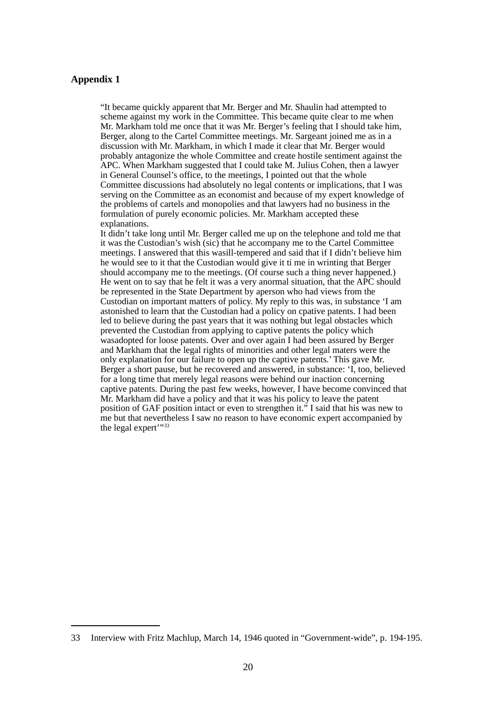#### **Appendix 1**

"It became quickly apparent that Mr. Berger and Mr. Shaulin had attempted to scheme against my work in the Committee. This became quite clear to me when Mr. Markham told me once that it was Mr. Berger's feeling that I should take him, Berger, along to the Cartel Committee meetings. Mr. Sargeant joined me as in a discussion with Mr. Markham, in which I made it clear that Mr. Berger would probably antagonize the whole Committee and create hostile sentiment against the APC. When Markham suggested that I could take M. Julius Cohen, then a lawyer in General Counsel's office, to the meetings, I pointed out that the whole Committee discussions had absolutely no legal contents or implications, that I was serving on the Committee as an economist and because of my expert knowledge of the problems of cartels and monopolies and that lawyers had no business in the formulation of purely economic policies. Mr. Markham accepted these explanations.

It didn't take long until Mr. Berger called me up on the telephone and told me that it was the Custodian's wish (sic) that he accompany me to the Cartel Committee meetings. I answered that this wasill-tempered and said that if I didn't believe him he would see to it that the Custodian would give it ti me in wrinting that Berger should accompany me to the meetings. (Of course such a thing never happened.) He went on to say that he felt it was a very anormal situation, that the APC should be represented in the State Department by aperson who had views from the Custodian on important matters of policy. My reply to this was, in substance 'I am astonished to learn that the Custodian had a policy on cpative patents. I had been led to believe during the past years that it was nothing but legal obstacles which prevented the Custodian from applying to captive patents the policy which wasadopted for loose patents. Over and over again I had been assured by Berger and Markham that the legal rights of minorities and other legal maters were the only explanation for our failure to open up the captive patents.' This gave Mr. Berger a short pause, but he recovered and answered, in substance: 'I, too, believed for a long time that merely legal reasons were behind our inaction concerning captive patents. During the past few weeks, however, I have become convinced that Mr. Markham did have a policy and that it was his policy to leave the patent position of GAF position intact or even to strengthen it." I said that his was new to me but that nevertheless I saw no reason to have economic expert accompanied by the legal expert'"[33](#page-20-0)

<span id="page-20-0"></span><sup>33</sup> Interview with Fritz Machlup, March 14, 1946 quoted in "Government-wide", p. 194-195.